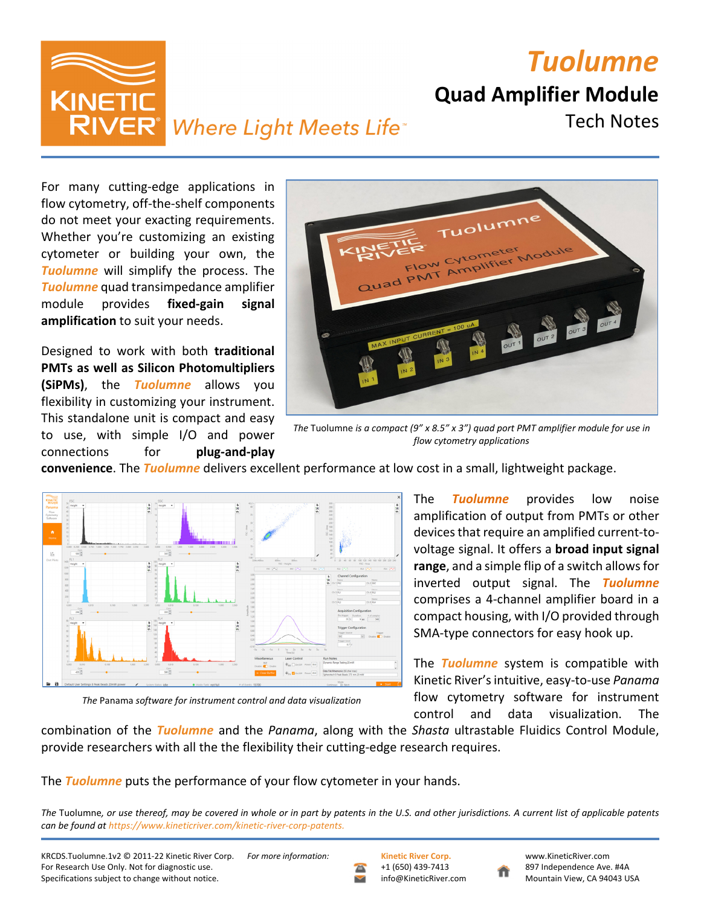*Tuolumne*

**Quad Amplifier Module**

Tech Notes

**KINETI RIVER**<sup>*Where Light Meets Life*<sup>*\**</sup></sup>

For many cutting‐edge applications in flow cytometry, off‐the‐shelf components do not meet your exacting requirements. Whether you're customizing an existing cytometer or building your own, the *Tuolumne* will simplify the process. The *Tuolumne* quad transimpedance amplifier module provides **fixed‐gain signal amplification** to suit your needs.

Designed to work with both **traditional PMTs as well as Silicon Photomultipliers (SiPMs)**, the *Tuolumne* allows you flexibility in customizing your instrument. This standalone unit is compact and easy to use, with simple I/O and power connections for **plug‐and‐play**



*The* Tuolumne *is a compact (9" x 8.5" x 3") quad port PMT amplifier module for use in flow cytometry applications*

**convenience**. The *Tuolumne* delivers excellent performance at low cost in a small, lightweight package.



The *Tuolumne* provides low noise amplification of output from PMTs or other devicesthat require an amplified current‐to‐ voltage signal. It offers a **broad input signal** range, and a simple flip of a switch allows for inverted output signal. The *Tuolumne* comprises a 4‐channel amplifier board in a compact housing, with I/O provided through SMA‐type connectors for easy hook up.

The *Tuolumne* system is compatible with Kinetic River'sintuitive, easy‐to‐use *Panama* flow cytometry software for instrument control and data visualization. The

*The* Panama *software for instrument control and data visualization*

combination of the *Tuolumne* and the *Panama*, along with the *Shasta* ultrastable Fluidics Control Module, provide researchers with all the the flexibility their cutting‐edge research requires.

The *Tuolumne* puts the performance of your flow cytometer in your hands.

The Tuolumne, or use thereof, may be covered in whole or in part by patents in the U.S. and other jurisdictions. A current list of applicable patents *can be found at https://www.kineticriver.com/kinetic‐river‐corp‐patents.*